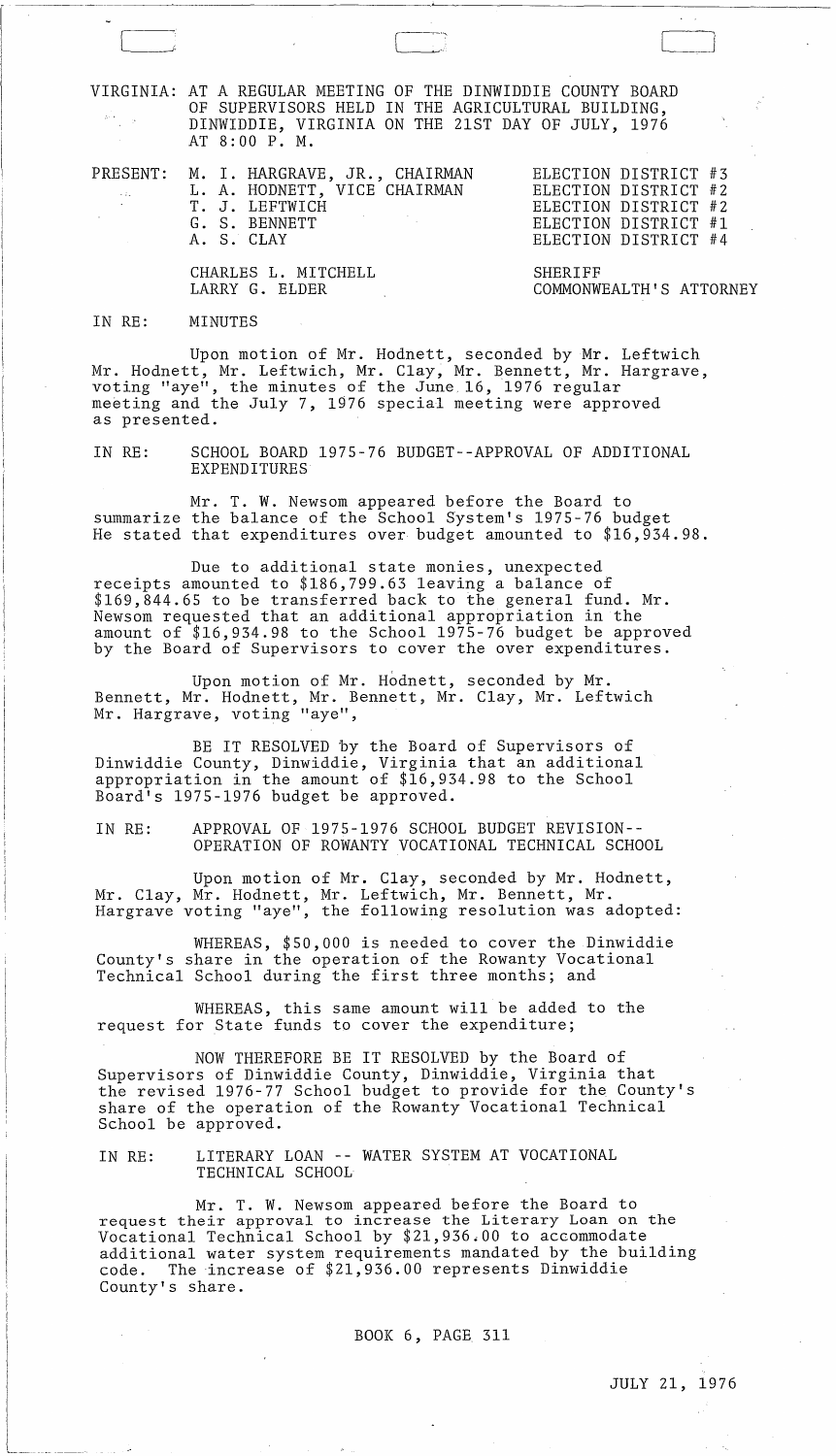VIRGINIA: AT A REGULAR MEETING OF THE DINWIDDIE COUNTY BOARD OF SUPERVISORS HELD IN THE AGRICULTURAL BUILDING, DINWIDDIE, VIRGINIA ON THE 21ST DAY OF JULY, 1976 AT 8:00 P. M.

| <b>Contractor</b> | PRESENT: M. I. HARGRAVE, JR., CHAIRMAN<br>L. A. HODNETT, VICE CHAIRMAN<br>T. J. LEFTWICH<br>G. S. BENNETT<br>A. S. CLAY | ELECTION DISTRICT #3<br>ELECTION DISTRICT #2<br>ELECTION DISTRICT #2<br>ELECTION DISTRICT #1<br>ELECTION DISTRICT #4 |
|-------------------|-------------------------------------------------------------------------------------------------------------------------|----------------------------------------------------------------------------------------------------------------------|
|                   | CHARLES L. MITCHELL<br>LARRY G. ELDER                                                                                   | SHERTFF<br>COMMONWEALTH'S ATTORNEY                                                                                   |

#### IN RE: MINUTES

 $\sim 10^7$ 

Upon motion of Mr. Hodnett, seconded by Mr. Leftwich Mr. Hodnett, Mr. Leftwich, Mr. Clay, Mr. Bennett, Mr. Hargrave, voting "aye", the minutes of the June. 16, 1976 regular meeting and the July 7, 1976 special meeting were approved as presented.

IN RE: SCHOOL BOARD 1975-76 BUDGET--APPROVAL OF ADDITIONAL EXPENDITURES

Mr. T. W. Newsom appeared before the Board to summarize the balance of the School System's 1975-76 budget He stated that expenditures over budget amounted to \$16,934.98.

Due to additional state monies, unexpected receipts amounted to \$186,799.63 leaving a balance of \$169,844.65 to be transferred back to the general fund. Mr. Newsom requested that an additional appropriation in the amount of \$16,934.98 to the School 1975-76 budget be approved by the Board of Supervisors to cover the over expenditures.

Upon motion of Mr. Hodnett, seconded by Mr. Bennett, Mr. Hodnett, Mr. Bennett, Mr. Clay, Mr. Leftwich Mr. Hargrave, voting "aye",

BE IT RESOLVED by the Board of Supervisors of Dinwiddie County, Dinwiddie, Virginia that an additional appropriation in the amount of \$16,934.98 to the School Board's 1975-1976 budget be approved.

IN RE: APPROVAL OF 1975-1976 SCHOOL BUDGET REVISION-- OPERATION OF ROWANTY VOCATIONAL TECHNICAL SCHOOL

Upon motion of Mr. Clay, seconded by Mr. Hodnett, Mr. Clay, Mr. Hodnett, Mr. Leftwich, Mr. Bennett, Mr. Hargrave voting "aye", the following resolution was adopted:

WHEREAS, \$50,000 is needed to cover the Dinwiddie County's share in the operation of the Rowanty Vocational Technical School during the first three months; and

WHEREAS, this same amount will be added to the request for State funds to cover the expenditure;

NOW THEREFORE BE IT RESOLVED by the Board of Supervisors of Dinwiddie County, Dinwiddie, Virginia that the revised 1976-77 School budget to provide for the County's share of the operation of the Rowanty Vocational Technical School be approved.

IN RE: LITERARY LOAN -- WATER SYSTEM AT VOCATIONAL TECHNICAL SCHOOL

Mr. T. W. Newsom appeared before the Board to request their approval to increase the Literary Loan on the Vocational Technical School by \$21,936.00 to accommodate additional water system requirements mandated by the building code. The increase of \$21,936.00 represents Dinwiddie County's share.

BOOK 6, PAGE 311

JULY 21, 1976

 $\llbracket$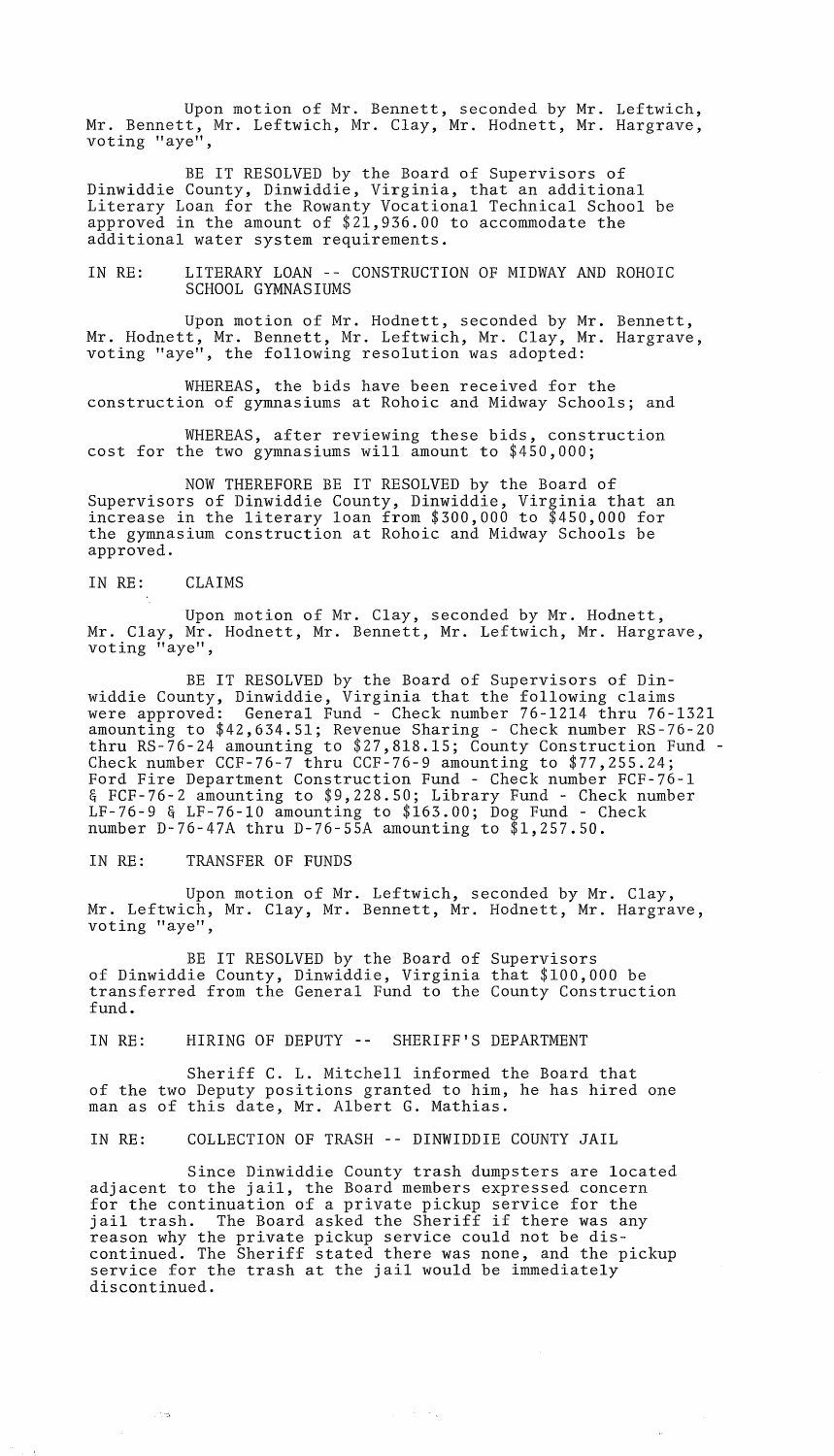Upon motion of Mr. Bennett, seconded by Mr. Leftwich, Mr. Bennett, Mr. Leftwich, Mr. Clay, Mr. Hodnett, Mr. Hargrave, voting "aye",

BE IT RESOLVED by the Board of Supervisors of Dinwiddie County, Dinwiddie, Virginia, that an additional Literary Loan for the Rowanty Vocational Technical School be approved in the amount of \$21,936.00 to accommodate the additional water system requirements.

IN RE: LITERARY LOAN -- CONSTRUCTION OF MIDWAY AND ROHOIC SCHOOL GYMNASIUMS

Upon motion of Mr. Hodnett, seconded by Mr. Bennett, Mr. Hodnett, Mr. Bennett, Mr. Leftwich, Mr. Clay, Mr. Hargrave, voting "aye", the following resolution was adopted:

WHEREAS, the bids have been received for the construction of gymnasiums at Rohoic and Midway Schools; and

WHEREAS, after reviewing these bids, construction cost for the two gymnasiums will amount to \$450,000;

NOW THEREFORE BE IT RESOLVED by the Board of Supervisors of Dinwiddie County, Dinwiddie, Virginia that an increase in the literary loan from \$300,000 to \$450,000 for the gymnasium construction at Rohoic and Midway Schools be approved.

### IN RE: CLAIMS

Upon motion of Mr. Clay, seconded by Mr. Hodnett, Mr. Clay, Mr. Hodnett, Mr. Bennett, Mr. Leftwich, Mr. Hargrave, voting "aye",

BE IT RESOLVED by the Board of Supervisors of Dinwiddie County, Dinwiddie, Virginia that the following claims were approved: General Fund - Check number 76-1214 thru 76-1321 amounting to \$42,634.51; Revenue Sharing - Check number RS-76-20 thru RS-76-24 amounting to \$27,818.15; County Construction Fund - Check number CCF-76-7 thru CCF-76-9 amounting to \$77,255.24; Ford Fire Department Construction Fund - Check number FCF-76-1 & FCF-76-2 amounting to \$9,228.50; Library Fund - Check number LF-76-9 & LF-76-l0 amounting to \$163.00; Dog Fund - Check number D-76-47A thru D-76-55A amounting to \$1,257.50.

IN RE: TRANSFER OF FUNDS

 $\sim$  158

 $\mathcal{A}^{(1)}$ 

Upon motion of Mr. Leftwich, seconded by Mr. Clay, Mr. Leftwich, Mr. Clay, Mr. Bennett, Mr. Hodnett, Mr. Hargrave, voting "aye",

BE IT RESOLVED by the Board of Supervisors of Dinwiddie County, Dinwiddie, Virginia that \$100,000 be transferred from the General Fund to the County Construction fund.

IN RE: HIRING OF DEPUTY -- SHERIFF'S DEPARTMENT

Sheriff C. L. Mitchell informed the Board that of the two Deputy positions granted to him, he has hired one man as of this date, Mr. Albert G. Mathias.

IN RE: COLLECTION OF TRASH -- DINWIDDIE COUNTY JAIL

Since Dinwiddie County trash dumpsters are located adjacent to the jail, the Board members expressed concern for the continuation of a private pickup service for the jail trash. The Board asked the Sheriff if there was reason why the private pickup service could not be discontinued. The Sheriff stated there was none, and the pickup service for the trash at the jail would be immediately discontinued.

 $\alpha$  , and  $\alpha$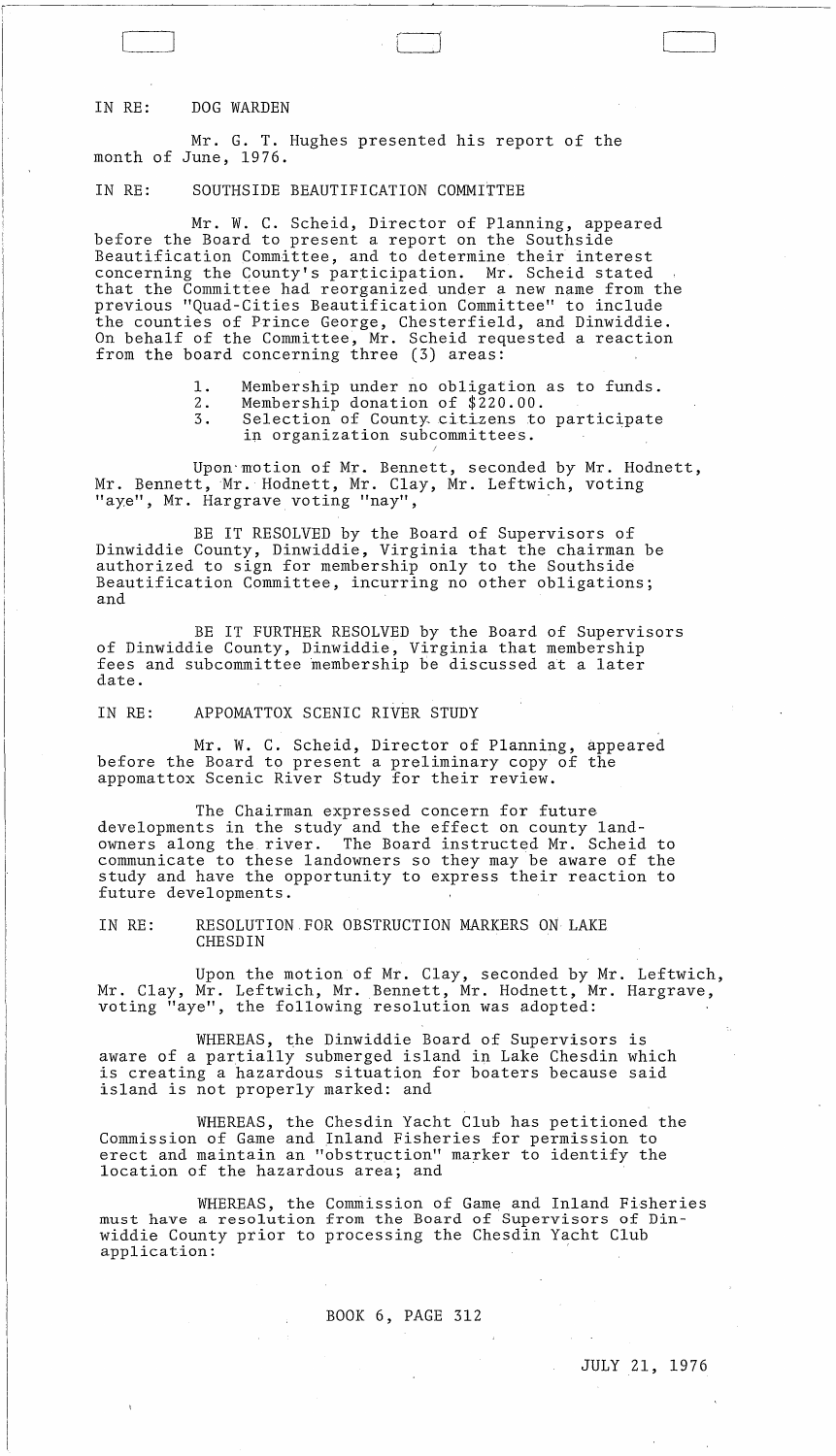## IN RE: DOG WARDEN

(----'

Mr. G. T. Hughes presented his report of the month of June, 1976.

# IN RE: SOUTHSIDE BEAUTIFICATION COMMITTEE

Mr. W. C. Scheid, Director of Planning, appeared before the Board to present a report on the Southside Beautification Committee, and to determine their interest concerning the County's participation. Mr. Scheid stated that the Committee had reorganized under a new name from the previous "Quad-Cities Beautification Committee" to include the counties of Prince George, Chesterfield, and Dinwiddie. On behalf of the Committee, Mr. Scheid requested a reaction from the board concerning three (3) areas:

- 1. Membership under no obligation as to funds.<br>2. Membership donation of \$220.00.
- 2. Membership donation of \$220.00.<br>3. Selection of County citizens to
	- Selection of County citizens to participate in organization subcommittees. J

Upon"motion of Mr. Bennett, seconded by Mr. Hodnett, Mr. Bennett, Mr. Hodnett, Mr. Clay, Mr. Leftwich, voting "aye", Mr. Hargrave voting "nay",

BE IT RESOLVED by the Board of Supervisors of Dinwiddie County, Dinwiddie, Virginia that the chairman be authorized to sign for membership only to the Southside Beautification Committee, incurring no other obligations; and

BE IT FURTHER RESOLVED by the Board of Supervisors of Dinwiddie County, Dinwiddie, Virginia that membership fees and subcommittee membership be discussed at a later date.

### IN RE: APPOMATTOX SCENIC RIVER STUDY

Mr. W. C. Scheid, Director of Planning, appeared before the Board to present a preliminary copy of the appomattox Scenic River Study for their review.

The Chairman expressed concern for future developments in the study and the effect on county landowners along the river. The Board instructed Mr. Scheid to communicate to these landowners so they may be aware of the study and have the opportunity to express their reaction to future developments.

IN RE: RESOLUTION FOR OBSTRUCTION MARKERS ON LAKE CHESDIN

Upon the motion of Mr. Clay, seconded by Mr. Leftwich, Mr. Clay, Mr. Leftwich, Mr. Bennett, Mr. Hodnett, Mr. Hargrave, voting "aye", the following resolution was adopted:

WHEREAS, the Dinwiddie Board of Supervisors is aware of a partially submerged island in Lake Chesdin which is creating a hazardous situation for boaters because said island is not properly marked: and

WHEREAS, the Chesdin Yacht Club has petitioned the Commission of Game and Inland Fisheries for permission to erect and maintain an "obstruction" marker to identify the location of the hazardous area; and

WHEREAS, the Commission of Game and Inland Fisheries must have a resolution from the Board of Supervisors of Dinwiddie County prior to processing the Chesdin Yacht Club application:

## BOOK 6, PAGE 312

 $\perp$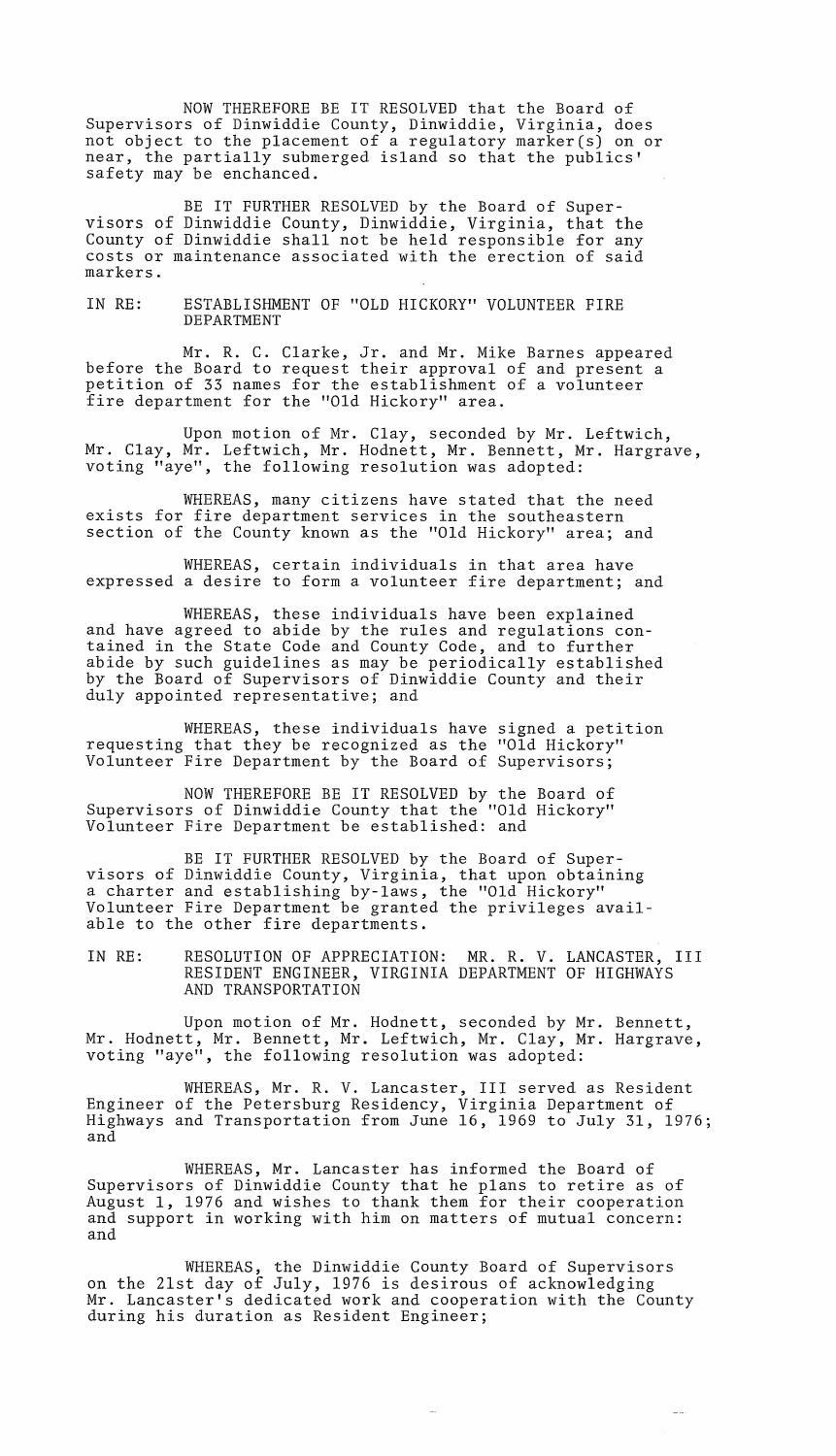NOW THEREFORE BE IT RESOLVED that the Board of Supervisors of Dinwiddie County, Dinwiddie, Virginia, does not object to the placement of a regulatory marker(s) on or near, the partially submerged island so that the publics' safety may be enchanced.

BE IT FURTHER RESOLVED by the Board of Supervisors of Dinwiddie County, Dinwiddie, Virginia, that the County of Dinwiddie shall not be held responsible for any costs or maintenance associated with the erection of said markers.

IN RE: ESTABLISHMENT OF "OLD HICKORY" VOLUNTEER FIRE DEPARTMENT

Mr. R. C. Clarke, Jr. and Mr. Mike Barnes appeared before the Board to request their approval of and present a petition of 33 names for the establishment of a volunteer fire department for the "Old Hickory" area.

Upon motion of Mr. Clay, seconded by Mr. Leftwich, Mr. Clay, Mr. Leftwich, Mr. Hodnett, Mr. Bennett, Mr. Hargrave, voting "aye", the following resolution was adopted:

WHEREAS, many citizens have stated that the need exists for fire department services in the southeastern section of the County known as the "Old Hickory" area; and

WHEREAS, certain individuals in that area have expressed a desire to form a volunteer fire department; and

WHEREAS, these individuals have been explained and have agreed to abide by the rules and regulations contained in the State Code and County Code, and to further abide by such guidelines as may be periodically established by the Board of Supervisors of Dinwiddie County and their duly appointed representative; and

WHEREAS, these individuals have signed a petition requesting that they be recognized as the "Old Hickory" Volunteer Fire Department by the Board of Supervisors;

NOW THEREFORE BE IT RESOLVED by the Board of Supervisors of Dinwiddie County that the "Old Hickory" Volunteer Fire Department be established: and

BE IT FURTHER RESOLVED by the Board of Supervisors of Dinwiddie County, Virginia, that upon obtaining a charter and establishing by-laws, the "Old Hickory" Volunteer Fire Department be granted the privileges available to the other fire departments.

IN RE: RESOLUTION OF APPRECIATION: MR. R. V. LANCASTER, III RESIDENT ENGINEER, VIRGINIA DEPARTMENT OF HIGHWAYS AND TRANSPORTATION

Upon motion of Mr. Hodnett, seconded by Mr. Bennett, Mr. Hodnett, Mr. Bennett, Mr. Leftwich, Mr. Clay, Mr. Hargrave, voting "aye", the following resolution was adopted:

WHEREAS, Mr. R. V. Lancaster, III served as Resident Engineer of the Petersburg Residency, Virginia Department of Highways and Transportation from June 16, 1969 to July 31, 1976; and

WHEREAS, Mr. Lancaster has informed the Board of Supervisors of Dinwiddie County that he plans to retire as of August 1, 1976 and wishes to thank them for their cooperation and support in working with him on matters of mutual concern: and

WHEREAS, the Dinwiddie County Board of Supervisors on the 21st day of July, 1976 is desirous of acknowledging Mr. Lancaster's dedicated work and cooperation with the County during his duration as Resident Engineer;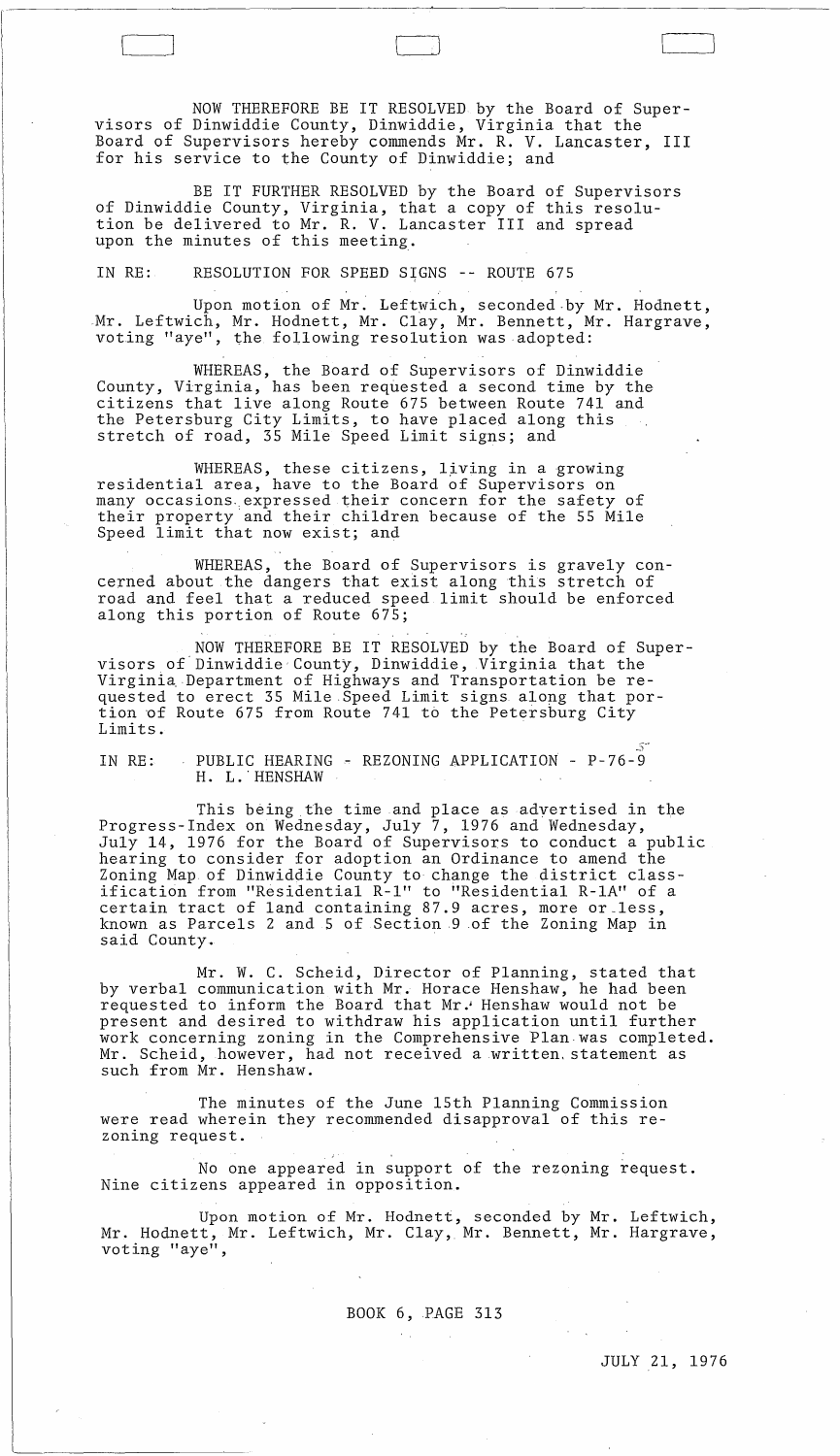NOW THEREFORE BE IT RESOLVED by the Board of Supervisors of Dinwiddie County, Dinwiddie, Virginia that the Board of Supervisors hereby commends Mr. R. V. Lancaster, III for his service to the County of Dinwiddie; and

'---\_J [

BE IT FURTHER RESOLVED by the Board of Supervisors of Dinwiddie County, Virginia, that a copy of this resolution be delivered to Mr. R. V. Lancaster III and spread upon the minutes of this meeting.

IN RE: RESOLUTION FOR SPEED SIGNS -- ROUTE 675

Upon motion of Mr. Leftwich, seconded by Mr. Hodnett, Mr. Leftwich, Mr. Hodnett, Mr. Clay, Mr. Bennett, Mr. Hargrave, voting "aye", the following resolution was adopted:

WHEREAS, the Board of Supervisors of Dinwiddie County, Virginia, has been requested a second time by the citizens that live along Route 675 between Route 741 and the Petersburg City Limits, to have placed along this stretch of road, 35 Mile Speed Limit signs; and

WHEREAS, these citizens, living in a growing residential area, have to the Board of Supervisors on many occasions, expressed their concern for the safety of their property and their children because of the 55 Mile Speed limit that now exist; and

WHEREAS, the Board of Supervisors is gravely concerned about the dangers that exist along this stretch of road and feel that a reduced speed limit should be enforced along this portion of Route 675;

NOW THEREFORE BE IT RESOLVED by the Board of Supervisors of'Dinwiddie' County, Dinwiddie, Virginia that the Virginia Department of Highways and Transportation be requested to erect 35 Mile Speed Limit signs along that portion of Route 675 from Route 741 to the Petersburg City Limits.

IN RE: PUBLIC HEARING - REZONING APPLICATION - P-76-9 H. L.' HENSHAW

This being.the time and place as advertised in the Progress-Index on Wednesday, July 7, 1976 and Wednesday, July 14, 1976 for the Board of Supervisors to conduct a public hearing to consider for adoption an Ordinance to amend the Zoning Map of Dinwiddie County to change the district classification from "Residential R-1" to <sup>i</sup> 'Residentia1 R-1A" of a certain tract of land containing 87.9 acres, more or\_less, known as Parcels 2 and 5 of Section 9 of the Zoning Map in said County. .

Mr. W. C. Scheid, Director of Planning, stated that by verbal communication with Mr. Horace Henshaw, he had been requested to inform the Board that Mr. Henshaw would not be present and desired to withdraw his application until further work concerning zoning in the Comprehensive Plan. was completed. Mr. Scheid, however, had not received a written. statement as such from Mr. Henshaw.

The minutes of the June 15th Planning Commission were read wherein they recommended disapproval of this rezoning request.

No one appeared in support of the rezoning request. Nine citizens appeared in opposition.

Upon motion of Mr. Hodnett, seconded by Mr. Leftwich, Mr. Hodnett, Mr. Leftwich, Mr. Clay, Mr. Bennett, Mr. Hargrave, voting "aye",

## BOOK 6,PAGE 313

 $\sim 10$ 

 $\mathcal{O}(\mathcal{A}^{\mathcal{A}})$  .

JULY 21, 1976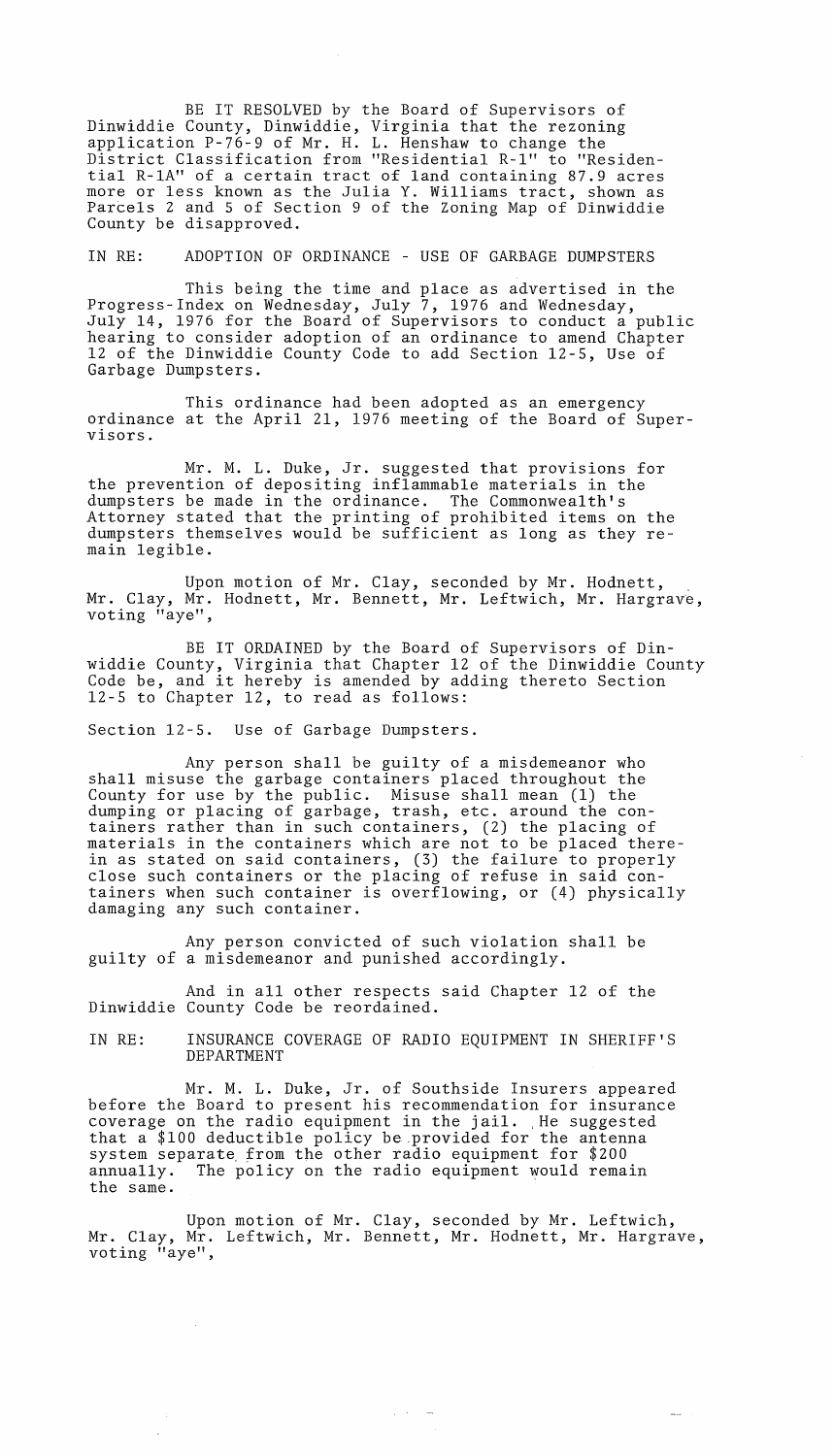BE IT RESOLVED by the Board of Supervisors of Dinwiddie County, Dinwiddie, Virginia that the rezoning application P-76-9 of Mr. H. **L.** Henshaw to change the District Classification from "Residential R-l" to "Residential R-lA" of a certain tract of land containing 87.9 acres more or less known as the Julia Y. Williams tract, shown as Parcels 2 and 5 of Section 9 of the Zoning Map of Dinwiddie County be disapproved.

IN RE: ADOPTION OF ORDINANCE - USE OF GARBAGE DUMPSTERS

This being the time and place as advertised in the Progress-Index on Wednesday, July 7, 1976 and Wednesday, July 14, 1976 for the Board of Supervisors to conduct a public hearing to consider adoption of an ordinance to amend Chapter 12 of the Dinwiddie County Code to add Section 12-5, Use of Garbage Dumpsters.

This ordinance had been adopted as an emergency ordinance at the April 21, 1976 meeting of the Board of Supervisors.

Mr. M. **L.** Duke, Jr. suggested that provisions for the prevention of depositing inflammable materials in the dumpsters be made in the ordinance. The Commonwealth's Attorney stated that the printing of prohibited items on the dumpsters themselves would be sufficient as long as they remain legible.

Upon motion of Mr. Clay, seconded by Mr. Hodnett,<br>Mr. Clay, Mr. Hodnett, Mr. Bennett, Mr. Leftwich, Mr. Hargrave, voting "aye",

BE IT ORDAINED by the Board of Supervisors of Dinwiddie County, Virginia that Chapter 12 of the Dinwiddie County Code be, and it hereby is amended by adding thereto Section 12-5 to Chapter 12, to read as follows:

Section 12-5. Use of Garbage Dumpsters.

Any person shall be guilty of a misdemeanor who shall misuse the garbage containers placed throughout the County for use by the public. Misuse shall mean (1) the dumping or placing of garbage, trash, etc. around the containers rather than in such containers, (2) the placing of materials in the containers which are not to be placed therein as stated on said containers, (3) the failure to properly close such containers or the placing of refuse in said containers when such container is overflowing, or (4) physically damaging any such container.

Any person convicted of such violation shall be guilty of a misdemeanor and punished accordingly.

And in all other respects said Chapter 12 of the Dinwiddie County Code be reordained.

IN RE: INSURANCE COVERAGE OF RADIO EQUIPMENT IN SHERIFF'S DEPARTMENT

Mr. M. **L.** Duke, Jr. of Southside Insurers appeared before the Board to present his recommendation for insurance coverage on the radio equipment in the jail. ,He suggested that a \$100 deductible policy be.provided for the antenna system separate from the other radio equipment for \$200 annually. The policy on the radio equipment would remain the same.

Upon motion of Mr. Clay, seconded by Mr. Leftwich, Mr. Clay, Mr. Leftwich, Mr. Bennett, Mr. Hodnett, Mr. Hargrave, voting "aye",

 $\alpha$  ,  $\gamma$  ,  $\gamma$  ,  $\rightarrow$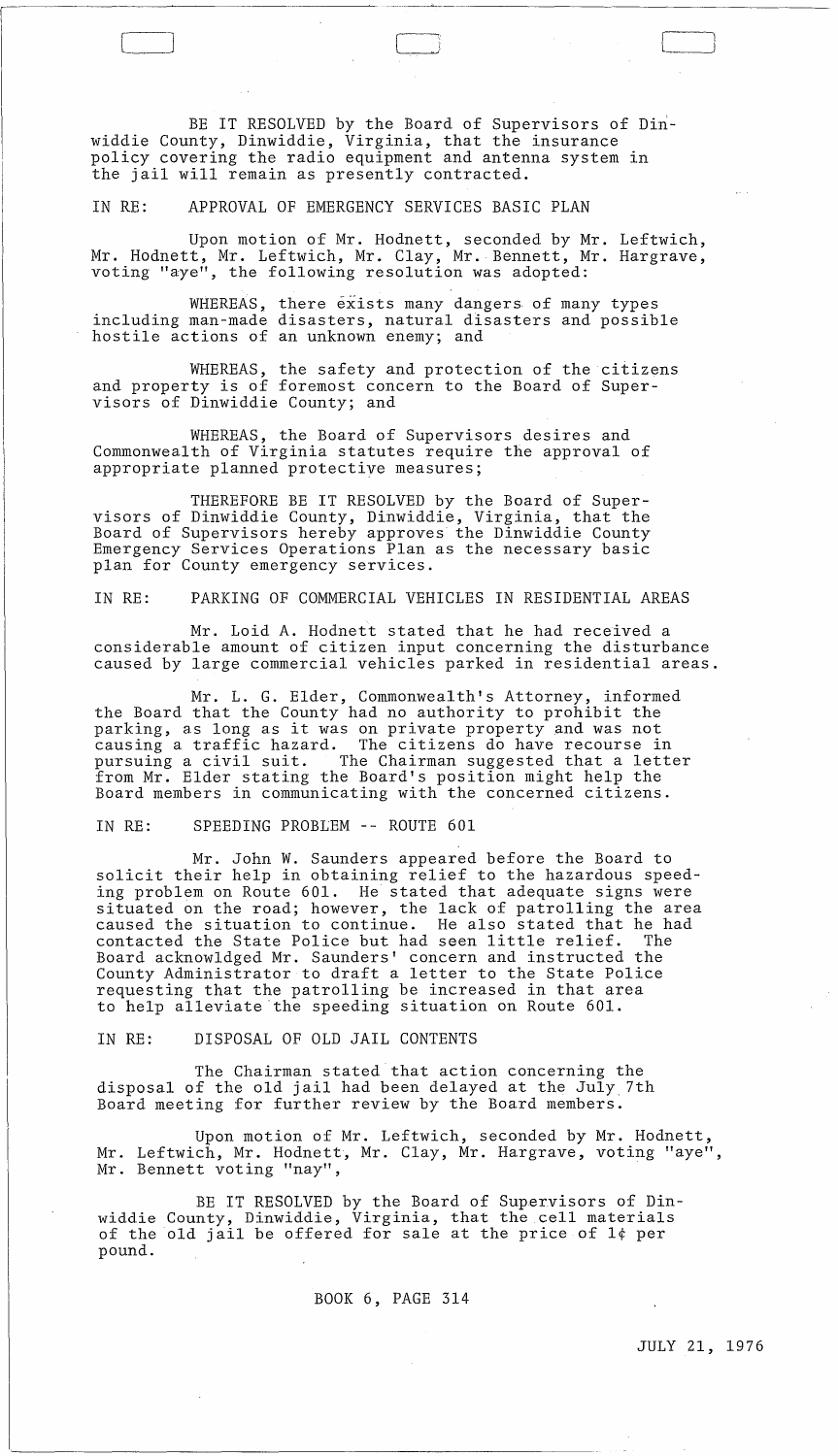BE IT RESOLVED by the Board of Supervisors of Dinwiddie County, Dinwiddie, Virginia, that the insurance policy covering the radio equipment and antenna system in the jail will remain as presently contracted.

IN RE: APPROVAL OF EMERGENCY SERVICES BASIC PLAN

[----'

Upon motion of Mr. Hodnett, seconded by Mr. Leftwich, Mr. Hodnett, Mr. Leftwich, Mr. Clay, Mr. Bennett, Mr. Hargrave, voting "aye", the following resolution was adopted:

WHEREAS, there exists many dangers of many types including man-made disasters, natural disasters and possible hostile actions of an unknown enemy; and

WHEREAS, the safety and protection of the citizens and property is of foremost concern to the Board of Supervisors of Dinwiddie County; and

WHEREAS, the Board of Supervisors desires and Commonwealth of Virginia statutes require the approval of appropriate planned protective measures;

THEREFORE BE IT RESOLVED by the Board of Supervisors of Dinwiddie County, Dinwiddie, Virginia, that the Board of Supervisors hereby approves the Dinwiddie County Emergency Services Operations Plan as the necessary basic plan for County emergency services.

#### IN RE: PARKING OF COMMERCIAL VEHICLES IN RESIDENTIAL AREAS

Mr. Loid A. Hodnett stated that he had received a considerable amount of citizen input concerning the disturbance caused by large commercial vehicles parked in residential areas.

Mr. L. G. Elder, Commonwealth's Attorney, informed the Board that the County had no authority to prohibit the parking, as long as it was on private property and was not causing a traffic hazard. The citizens do have recourse in pursuing a civil suit. The Chairman suggested that a letter from Mr. Elder stating the Board's position might help the Board members in communicating with the concerned citizens.

# IN RE: SPEEDING PROBLEM -- ROUTE 601

Mr. John W. Saunders appeared before the Board to solicit their help in obtaining relief to the hazardous speeding problem on Route 601. He stated that adequate signs were situated on the road; however, the lack of patrolling the area caused the situation to continue. He also stated that he had contacted the State Police but had seen little relief. Board acknowldged Mr. Saunders' concern and instructed the County Administrator to draft a letter to the State Police requesting that the patrolling be increased in that area to help alleviate'the speeding situation on Route 601.

IN RE: DISPOSAL OF OLD JAIL CONTENTS

The Chairman stated that action concerning the disposal of the old jail had been delayed at the July. 7th Board meeting for further review by the Board members.

Upon motion of Mr. Leftwich, seconded by Mr. Hodnett, Mr. Leftwich, Mr. Hodnett, Mr. Clay, Mr. Hargrave, voting "aye", Mr. Bennett voting "nay",

BE IT RESOLVED by the Board of Supervisors of Dinwiddie County, Dinwiddie, Virginia, that the cell materials of the old jail be offered for sale at the price of l¢ per pound.

BOOK 6, PAGE 314

 $\sim 10^{-10}$ 

JULY 21, 1976

 $\sim 10^{-1}$